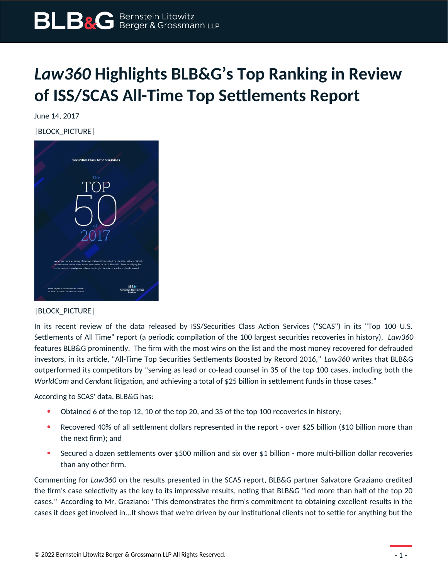

## *Law360* **Highlights BLB&G's Top Ranking in Review of ISS/SCAS All-Time Top Settlements Report**

June 14, 2017

|BLOCK\_PICTURE|



## |BLOCK\_PICTURE|

In its recent review of the data released by ISS/Securities Class Action Services ("SCAS") in its "Top 100 U.S. Settlements of All Time" report (a periodic compilation of the 100 largest securities recoveries in history), *Law360* features BLB&G prominently. The firm with the most wins on the list and the most money recovered for defrauded investors, in its article, "All-Time Top Securities Settlements Boosted by Record 2016," *Law360* writes that BLB&G outperformed its competitors by "serving as lead or co-lead counsel in 35 of the top 100 cases, including both the *WorldCom* and *Cendant* litigation, and achieving a total of \$25 billion in settlement funds in those cases."

According to SCAS' data, BLB&G has:

- Obtained 6 of the top 12, 10 of the top 20, and 35 of the top 100 recoveries in history;
- Recovered 40% of all settlement dollars represented in the report over \$25 billion (\$10 billion more than the next firm); and
- Secured a dozen settlements over \$500 million and six over \$1 billion more multi-billion dollar recoveries than any other firm.

Commenting for *Law360* on the results presented in the SCAS report, BLB&G partner Salvatore Graziano credited the firm's case selectivity as the key to its impressive results, noting that BLB&G "led more than half of the top 20 cases." According to Mr. Graziano: "This demonstrates the firm's commitment to obtaining excellent results in the cases it does get involved in...It shows that we're driven by our institutional clients not to settle for anything but the